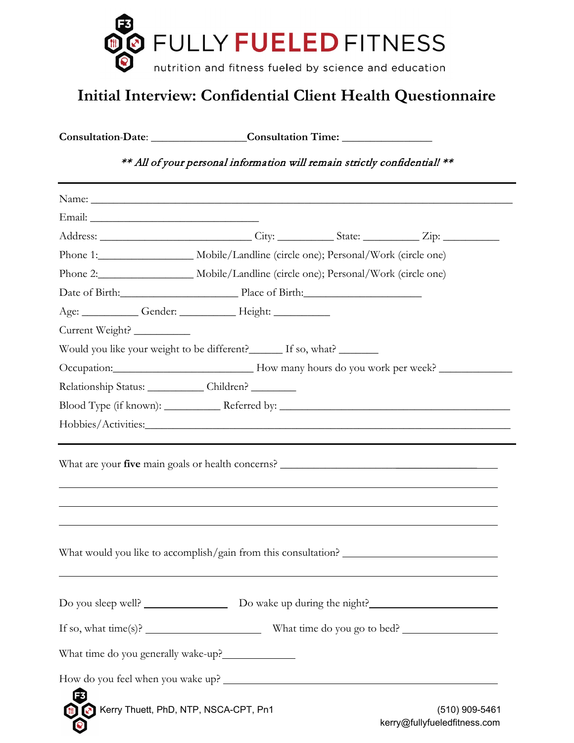

## **Initial Interview: Confidential Client Health Questionnaire**

**Consultation Date**: \_\_\_\_\_\_\_\_\_\_\_\_\_\_\_\_\_**Consultation Time:** \_\_\_\_\_\_\_\_\_\_\_\_\_\_\_\_

## \*\* All of your personal information will remain strictly confidential! \*\*

| Phone 1: Mobile/Landline (circle one); Personal/Work (circle one)                 |  |                |
|-----------------------------------------------------------------------------------|--|----------------|
| Phone 2: Mobile/Landline (circle one); Personal/Work (circle one)                 |  |                |
| Date of Birth: Place of Birth:                                                    |  |                |
| Age: _____________Gender: _______________Height: ______________                   |  |                |
| Current Weight?                                                                   |  |                |
| Would you like your weight to be different? If so, what?                          |  |                |
|                                                                                   |  |                |
| Relationship Status: _____________ Children? ________                             |  |                |
|                                                                                   |  |                |
|                                                                                   |  |                |
| ,我们也不会有一个人的人,我们也不会有一个人的人,我们也不会有一个人的人,我们也不会有一个人的人,我们也不会有一个人的人。""我们的人,我们也不会有一个人的人,我 |  |                |
|                                                                                   |  |                |
|                                                                                   |  |                |
| If so, what $time(s)$ ? What time do you go to bed?                               |  |                |
|                                                                                   |  |                |
|                                                                                   |  |                |
| E<br>Kerry Thuett, PhD, NTP, NSCA-CPT, Pn1                                        |  | (510) 909-5461 |

kerry@fullyfueledfitness.com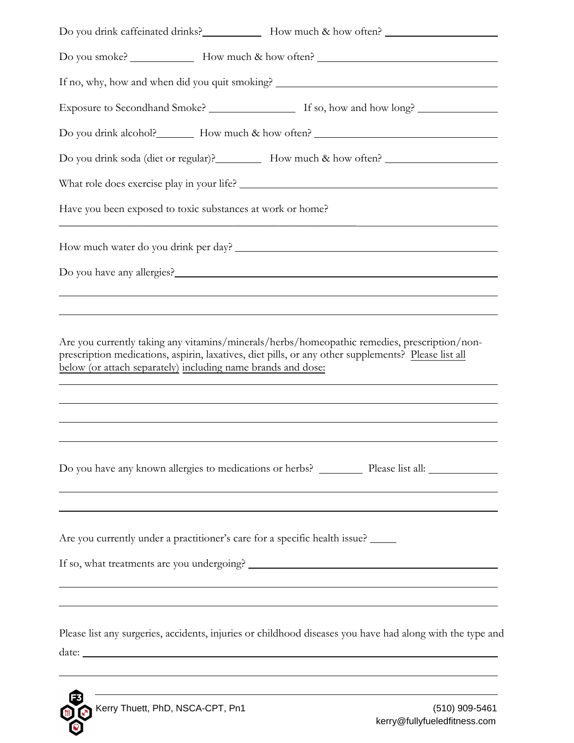|                                                              | Do you drink caffeinated drinks? How much & how often?                                                                                                                                              |
|--------------------------------------------------------------|-----------------------------------------------------------------------------------------------------------------------------------------------------------------------------------------------------|
|                                                              |                                                                                                                                                                                                     |
|                                                              |                                                                                                                                                                                                     |
|                                                              |                                                                                                                                                                                                     |
|                                                              | Do you drink alcohol? How much & how often?                                                                                                                                                         |
|                                                              | Do you drink soda (diet or regular)? How much & how often?                                                                                                                                          |
|                                                              |                                                                                                                                                                                                     |
| Have you been exposed to toxic substances at work or home?   |                                                                                                                                                                                                     |
|                                                              |                                                                                                                                                                                                     |
|                                                              |                                                                                                                                                                                                     |
|                                                              |                                                                                                                                                                                                     |
| below (or attach separately) including name brands and dose: | Are you currently taking any vitamins/minerals/herbs/homeopathic remedies, prescription/non-<br>prescription medications, aspirin, laxatives, diet pills, or any other supplements? Please list all |
|                                                              |                                                                                                                                                                                                     |
|                                                              | Are you currently under a practitioner's care for a specific health issue?                                                                                                                          |
|                                                              |                                                                                                                                                                                                     |
|                                                              | Please list any surgeries, accidents, injuries or childhood diseases you have had along with the type and                                                                                           |
|                                                              | ,我们也不会有什么。""我们的人,我们也不会有什么?""我们的人,我们也不会有什么?""我们的人,我们也不会有什么?""我们的人,我们也不会有什么?""我们的人                                                                                                                    |

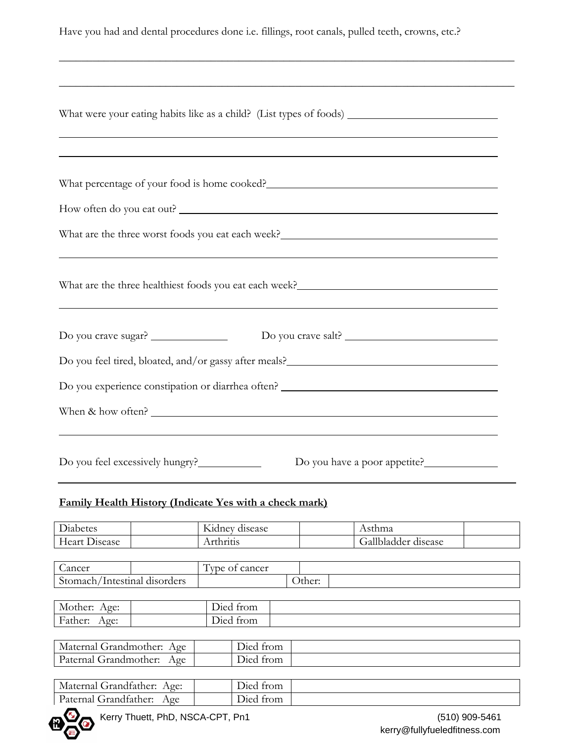Have you had and dental procedures done i.e. fillings, root canals, pulled teeth, crowns, etc.?

\_\_\_\_\_\_\_\_\_\_\_\_\_\_\_\_\_\_\_\_\_\_\_\_\_\_\_\_\_\_\_\_\_\_\_\_\_\_\_\_\_\_\_\_\_\_\_\_\_\_\_\_\_\_\_\_\_\_\_\_\_\_\_\_\_\_\_\_\_\_\_\_\_\_\_\_\_\_\_\_\_

| ,我们也不会有什么。""我们的人,我们也不会有什么?""我们的人,我们也不会有什么?""我们的人,我们也不会有什么?""我们的人,我们也不会有什么?""我们的人<br>,我们也不会有什么。""我们的人,我们也不会有什么?""我们的人,我们也不会有什么?""我们的人,我们也不会有什么?""我们的人,我们也不会有什么?""我们的人<br>What are the three healthiest foods you eat each week?<br><u>Letting and the substantial of the substantial of the substantial of the substantial of the substantial of the substantial of the substantial of the substantial of t</u><br>Do you crave sugar?<br>When & how often?<br>Do you have a poor appetite?<br><b>Family Health History (Indicate Yes with a check mark)</b><br>Kidney disease<br>Diabetes<br>Asthma<br>Heart Disease<br>Gallbladder disease<br>Arthritis<br>Cancer<br>Type of cancer<br>Stomach/Intestinal disorders<br>Other:<br>Died from<br>Mother: Age:<br>Father: Age:<br>Died from<br>Died from<br>Paternal Grandmother: Age<br>Died from |                                         |
|-------------------------------------------------------------------------------------------------------------------------------------------------------------------------------------------------------------------------------------------------------------------------------------------------------------------------------------------------------------------------------------------------------------------------------------------------------------------------------------------------------------------------------------------------------------------------------------------------------------------------------------------------------------------------------------------------------------------------------------------------------------------------------------------------------------------------------------------------|-----------------------------------------|
|                                                                                                                                                                                                                                                                                                                                                                                                                                                                                                                                                                                                                                                                                                                                                                                                                                                 |                                         |
|                                                                                                                                                                                                                                                                                                                                                                                                                                                                                                                                                                                                                                                                                                                                                                                                                                                 |                                         |
| Maternal Grandmother: Age                                                                                                                                                                                                                                                                                                                                                                                                                                                                                                                                                                                                                                                                                                                                                                                                                       |                                         |
|                                                                                                                                                                                                                                                                                                                                                                                                                                                                                                                                                                                                                                                                                                                                                                                                                                                 |                                         |
|                                                                                                                                                                                                                                                                                                                                                                                                                                                                                                                                                                                                                                                                                                                                                                                                                                                 |                                         |
|                                                                                                                                                                                                                                                                                                                                                                                                                                                                                                                                                                                                                                                                                                                                                                                                                                                 |                                         |
|                                                                                                                                                                                                                                                                                                                                                                                                                                                                                                                                                                                                                                                                                                                                                                                                                                                 |                                         |
|                                                                                                                                                                                                                                                                                                                                                                                                                                                                                                                                                                                                                                                                                                                                                                                                                                                 |                                         |
|                                                                                                                                                                                                                                                                                                                                                                                                                                                                                                                                                                                                                                                                                                                                                                                                                                                 |                                         |
|                                                                                                                                                                                                                                                                                                                                                                                                                                                                                                                                                                                                                                                                                                                                                                                                                                                 |                                         |
|                                                                                                                                                                                                                                                                                                                                                                                                                                                                                                                                                                                                                                                                                                                                                                                                                                                 |                                         |
|                                                                                                                                                                                                                                                                                                                                                                                                                                                                                                                                                                                                                                                                                                                                                                                                                                                 |                                         |
|                                                                                                                                                                                                                                                                                                                                                                                                                                                                                                                                                                                                                                                                                                                                                                                                                                                 |                                         |
|                                                                                                                                                                                                                                                                                                                                                                                                                                                                                                                                                                                                                                                                                                                                                                                                                                                 |                                         |
|                                                                                                                                                                                                                                                                                                                                                                                                                                                                                                                                                                                                                                                                                                                                                                                                                                                 |                                         |
|                                                                                                                                                                                                                                                                                                                                                                                                                                                                                                                                                                                                                                                                                                                                                                                                                                                 |                                         |
|                                                                                                                                                                                                                                                                                                                                                                                                                                                                                                                                                                                                                                                                                                                                                                                                                                                 |                                         |
|                                                                                                                                                                                                                                                                                                                                                                                                                                                                                                                                                                                                                                                                                                                                                                                                                                                 |                                         |
|                                                                                                                                                                                                                                                                                                                                                                                                                                                                                                                                                                                                                                                                                                                                                                                                                                                 | Maternal Grandfather: Age:<br>Died from |
| Paternal Grandfather: Age<br>Died from<br>A                                                                                                                                                                                                                                                                                                                                                                                                                                                                                                                                                                                                                                                                                                                                                                                                     |                                         |



Kerry Thuett, PhD, NSCA-CPT, Pn1 (510) 909-5461

kerry@fullyfueledfitness.com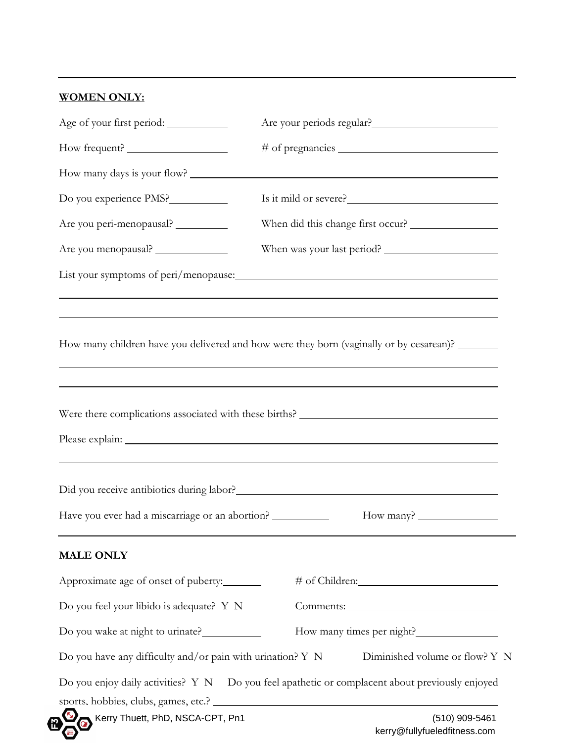## **WOMEN ONLY:**

| Do you experience PMS?                                                                                                  | Is it mild or severe?                                                                           |
|-------------------------------------------------------------------------------------------------------------------------|-------------------------------------------------------------------------------------------------|
| Are you peri-menopausal? _________                                                                                      | When did this change first occur?                                                               |
| Are you menopausal?                                                                                                     |                                                                                                 |
|                                                                                                                         |                                                                                                 |
|                                                                                                                         |                                                                                                 |
|                                                                                                                         |                                                                                                 |
|                                                                                                                         |                                                                                                 |
|                                                                                                                         | How many children have you delivered and how were they born (vaginally or by cesarean)? _______ |
|                                                                                                                         |                                                                                                 |
|                                                                                                                         |                                                                                                 |
|                                                                                                                         |                                                                                                 |
|                                                                                                                         |                                                                                                 |
|                                                                                                                         |                                                                                                 |
|                                                                                                                         |                                                                                                 |
|                                                                                                                         |                                                                                                 |
|                                                                                                                         | ,我们也不会有什么。""我们的人,我们也不会有什么?""我们的人,我们也不会有什么?""我们的人,我们也不会有什么?""我们的人,我们也不会有什么?""我们的人                |
|                                                                                                                         |                                                                                                 |
|                                                                                                                         |                                                                                                 |
|                                                                                                                         |                                                                                                 |
|                                                                                                                         |                                                                                                 |
|                                                                                                                         |                                                                                                 |
| Have you ever had a miscarriage or an abortion? ___________<br><b>MALE ONLY</b><br>Approximate age of onset of puberty: |                                                                                                 |
| Do you feel your libido is adequate? Y N                                                                                |                                                                                                 |
|                                                                                                                         |                                                                                                 |
|                                                                                                                         | Diminished volume or flow? Y N                                                                  |
| Do you wake at night to urinate?<br>Do you have any difficulty and/or pain with urination? $Y \ N$                      | Do you enjoy daily activities? Y N Do you feel apathetic or complacent about previously enjoyed |
|                                                                                                                         | sports. hobbies, clubs, games, etc.?                                                            |
| Kerry Thuett, PhD, NSCA-CPT, Pn1                                                                                        | (510) 909-5461<br>kerry@fullyfueledfitness.com                                                  |